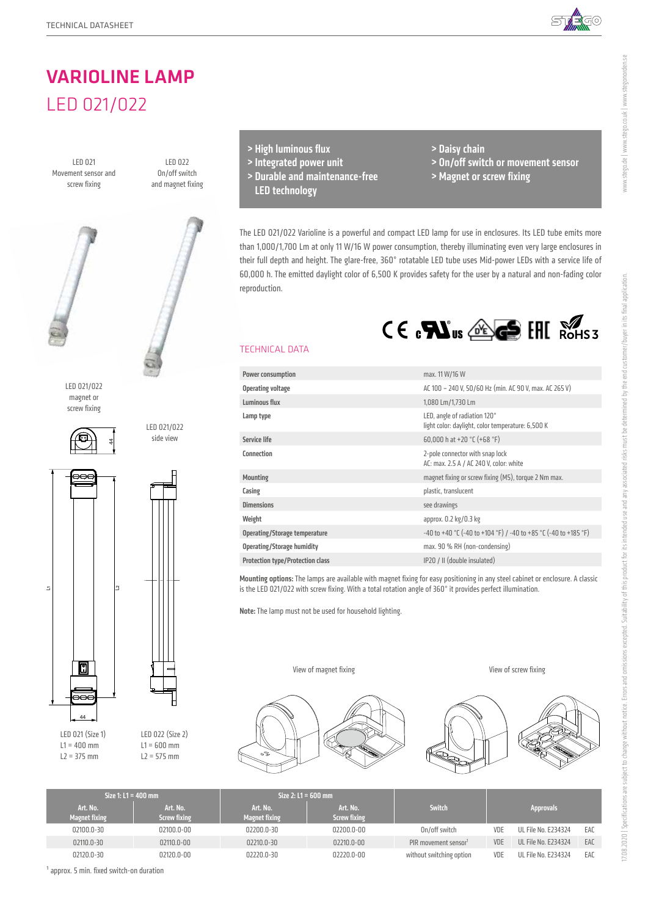

# VARIOLINE LAMP LED 021/022

LED 021 Movement sensor and screw fixing

LED 022 On/off switch and magnet fixing



LED 021/022 magnet or screw fixing





LED 021/022 side view

LED 021 (Size 1)  $L1 = 400$  mm  $L2 = 375$  mm

LED 022 (Size 2)  $L1 = 600$  mm  $L2 = 575$  mm

- > High luminous flux
- > Integrated power unit
- > Durable and maintenance-free LED technology
- > Daisy chain
- > On/off switch or movement sensor
- > Magnet or screw fixing

The LED 021/022 Varioline is a powerful and compact LED lamp for use in enclosures. Its LED tube emits more than 1,000/1,700 Lm at only 11 W/16 W power consumption, thereby illuminating even very large enclosures in their full depth and height. The glare-free, 360° rotatable LED tube uses Mid-power LEDs with a service life of 60,000 h. The emitted daylight color of 6,500 K provides safety for the user by a natural and non-fading color reproduction.



## TECHNICAL DATA

| Power consumption                       | max. 11 W/16 W                                                                    |
|-----------------------------------------|-----------------------------------------------------------------------------------|
| <b>Operating voltage</b>                | AC 100 - 240 V, 50/60 Hz (min. AC 90 V, max. AC 265 V)                            |
| Luminous flux                           | 1,080 Lm/1,730 Lm                                                                 |
| Lamp type                               | LED, angle of radiation 120°<br>light color: daylight, color temperature: 6,500 K |
| <b>Service life</b>                     | 60,000 h at +20 $°C$ (+68 $°F$ )                                                  |
| Connection                              | 2-pole connector with snap lock<br>AC: max. 2.5 A / AC 240 V, color: white        |
| <b>Mounting</b>                         | magnet fixing or screw fixing (M5), torque 2 Nm max.                              |
| Casing                                  | plastic, translucent                                                              |
| <b>Dimensions</b>                       | see drawings                                                                      |
| Weight                                  | approx. 0.2 kg/0.3 kg                                                             |
| Operating/Storage temperature           | $-40$ to $+40$ °C (-40 to $+104$ °F) / -40 to $+85$ °C (-40 to $+185$ °F)         |
| <b>Operating/Storage humidity</b>       | max. 90 % RH (non-condensing)                                                     |
| <b>Protection type/Protection class</b> | IP20 / II (double insulated)                                                      |
|                                         |                                                                                   |

Mounting options: The lamps are available with magnet fixing for easy positioning in any steel cabinet or enclosure. A classic is the LED 021/022 with screw fixing. With a total rotation angle of 360° it provides perfect illumination.

Note: The lamp must not be used for household lighting.

View of magnet fixing



View of screw fixing



| Size 1: $L1 = 400$ mm |                           | Size $2: L1 = 600$ mm                                               |            |                                 |                                  |                  |                     |     |
|-----------------------|---------------------------|---------------------------------------------------------------------|------------|---------------------------------|----------------------------------|------------------|---------------------|-----|
|                       | Art. No.<br>Magnet fixing | Art. No.<br>Art. No.<br><b>Screw fixing</b><br><b>Magnet fixing</b> |            | Art. No.<br><b>Screw fixing</b> | Switch                           | <b>Approvals</b> |                     |     |
|                       | 02100.0-30                | 02100.0-00                                                          | 02200.0-30 | 02200.0-00                      | On/off switch                    | VDE              | UL File No. E234324 | EAC |
|                       | 02110.0-30                | 02110.0-00                                                          | 02210.0-30 | $02210.0 - 00$                  | PIR movement sensor <sup>1</sup> | VDE              | UL File No. E234324 | EAC |
|                       | 02120.0-30                | 02120.0-00                                                          | 02220.0-30 | 02220.0-00                      | without switching option         | VDE              | UL File No. E234324 | EAC |

www.stego.de | www.stego.co.uk | www.stegonorden.se

www.stego.de | www.stego.co.uk | www.stegonorden.se